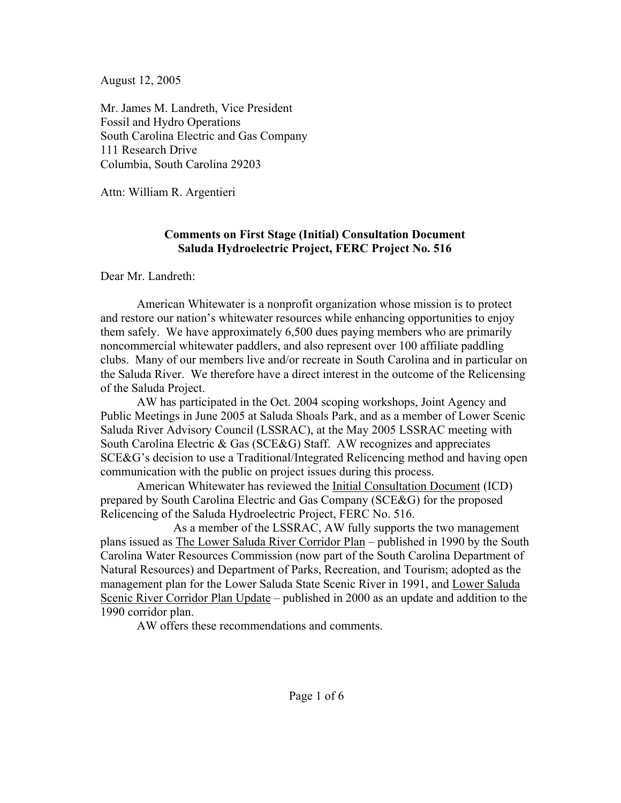August 12, 2005

Mr. James M. Landreth, Vice President Fossil and Hydro Operations South Carolina Electric and Gas Company 111 Research Drive Columbia, South Carolina 29203

Attn: William R. Argentieri

### **Comments on First Stage (Initial) Consultation Document Saluda Hydroelectric Project, FERC Project No. 516**

Dear Mr. Landreth:

 American Whitewater is a nonprofit organization whose mission is to protect and restore our nation's whitewater resources while enhancing opportunities to enjoy them safely. We have approximately 6,500 dues paying members who are primarily noncommercial whitewater paddlers, and also represent over 100 affiliate paddling clubs. Many of our members live and/or recreate in South Carolina and in particular on the Saluda River. We therefore have a direct interest in the outcome of the Relicensing of the Saluda Project.

 AW has participated in the Oct. 2004 scoping workshops, Joint Agency and Public Meetings in June 2005 at Saluda Shoals Park, and as a member of Lower Scenic Saluda River Advisory Council (LSSRAC), at the May 2005 LSSRAC meeting with South Carolina Electric & Gas (SCE&G) Staff. AW recognizes and appreciates SCE&G's decision to use a Traditional/Integrated Relicencing method and having open communication with the public on project issues during this process.

 American Whitewater has reviewed the Initial Consultation Document (ICD) prepared by South Carolina Electric and Gas Company (SCE&G) for the proposed Relicencing of the Saluda Hydroelectric Project, FERC No. 516.

 As a member of the LSSRAC, AW fully supports the two management plans issued as The Lower Saluda River Corridor Plan – published in 1990 by the South Carolina Water Resources Commission (now part of the South Carolina Department of Natural Resources) and Department of Parks, Recreation, and Tourism; adopted as the management plan for the Lower Saluda State Scenic River in 1991, and Lower Saluda Scenic River Corridor Plan Update – published in 2000 as an update and addition to the 1990 corridor plan.

AW offers these recommendations and comments.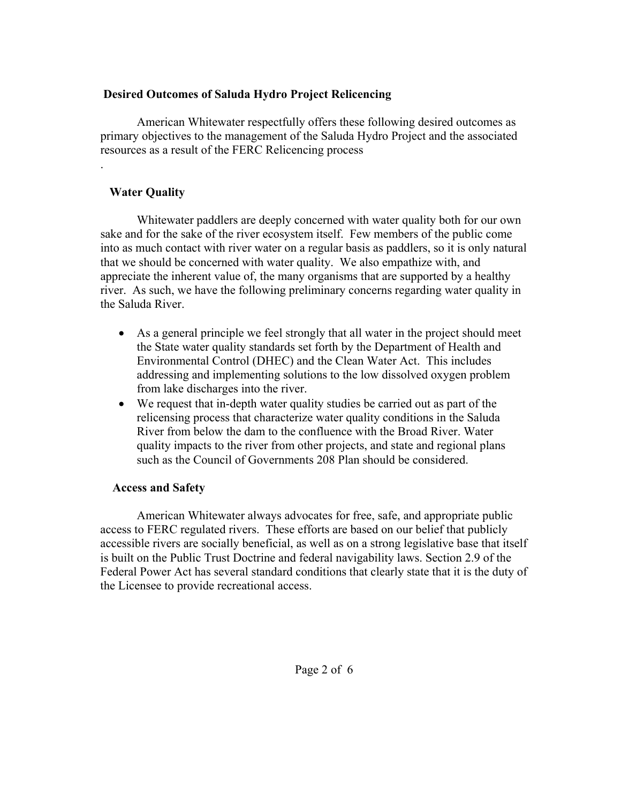### **Desired Outcomes of Saluda Hydro Project Relicencing**

 American Whitewater respectfully offers these following desired outcomes as primary objectives to the management of the Saluda Hydro Project and the associated resources as a result of the FERC Relicencing process

## **Water Quality**

.

 Whitewater paddlers are deeply concerned with water quality both for our own sake and for the sake of the river ecosystem itself. Few members of the public come into as much contact with river water on a regular basis as paddlers, so it is only natural that we should be concerned with water quality. We also empathize with, and appreciate the inherent value of, the many organisms that are supported by a healthy river. As such, we have the following preliminary concerns regarding water quality in the Saluda River.

- As a general principle we feel strongly that all water in the project should meet the State water quality standards set forth by the Department of Health and Environmental Control (DHEC) and the Clean Water Act. This includes addressing and implementing solutions to the low dissolved oxygen problem from lake discharges into the river.
- We request that in-depth water quality studies be carried out as part of the relicensing process that characterize water quality conditions in the Saluda River from below the dam to the confluence with the Broad River. Water quality impacts to the river from other projects, and state and regional plans such as the Council of Governments 208 Plan should be considered.

### **Access and Safety**

 American Whitewater always advocates for free, safe, and appropriate public access to FERC regulated rivers. These efforts are based on our belief that publicly accessible rivers are socially beneficial, as well as on a strong legislative base that itself is built on the Public Trust Doctrine and federal navigability laws. Section 2.9 of the Federal Power Act has several standard conditions that clearly state that it is the duty of the Licensee to provide recreational access.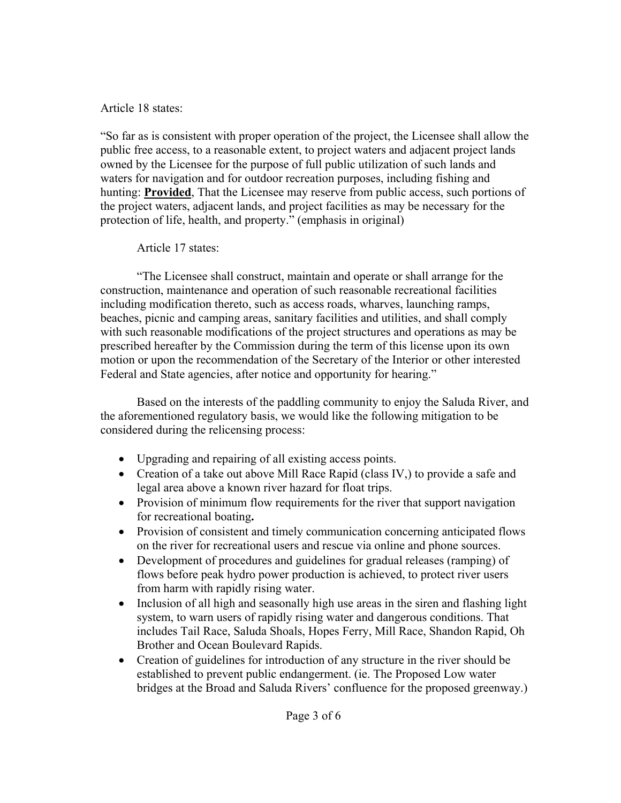## Article 18 states:

"So far as is consistent with proper operation of the project, the Licensee shall allow the public free access, to a reasonable extent, to project waters and adjacent project lands owned by the Licensee for the purpose of full public utilization of such lands and waters for navigation and for outdoor recreation purposes, including fishing and hunting: **Provided**, That the Licensee may reserve from public access, such portions of the project waters, adjacent lands, and project facilities as may be necessary for the protection of life, health, and property." (emphasis in original)

Article 17 states:

 "The Licensee shall construct, maintain and operate or shall arrange for the construction, maintenance and operation of such reasonable recreational facilities including modification thereto, such as access roads, wharves, launching ramps, beaches, picnic and camping areas, sanitary facilities and utilities, and shall comply with such reasonable modifications of the project structures and operations as may be prescribed hereafter by the Commission during the term of this license upon its own motion or upon the recommendation of the Secretary of the Interior or other interested Federal and State agencies, after notice and opportunity for hearing."

 Based on the interests of the paddling community to enjoy the Saluda River, and the aforementioned regulatory basis, we would like the following mitigation to be considered during the relicensing process:

- Upgrading and repairing of all existing access points.
- Creation of a take out above Mill Race Rapid (class IV,) to provide a safe and legal area above a known river hazard for float trips.
- Provision of minimum flow requirements for the river that support navigation for recreational boating**.**
- Provision of consistent and timely communication concerning anticipated flows on the river for recreational users and rescue via online and phone sources.
- Development of procedures and guidelines for gradual releases (ramping) of flows before peak hydro power production is achieved, to protect river users from harm with rapidly rising water.
- Inclusion of all high and seasonally high use areas in the siren and flashing light system, to warn users of rapidly rising water and dangerous conditions. That includes Tail Race, Saluda Shoals, Hopes Ferry, Mill Race, Shandon Rapid, Oh Brother and Ocean Boulevard Rapids.
- Creation of guidelines for introduction of any structure in the river should be established to prevent public endangerment. (ie. The Proposed Low water bridges at the Broad and Saluda Rivers' confluence for the proposed greenway.)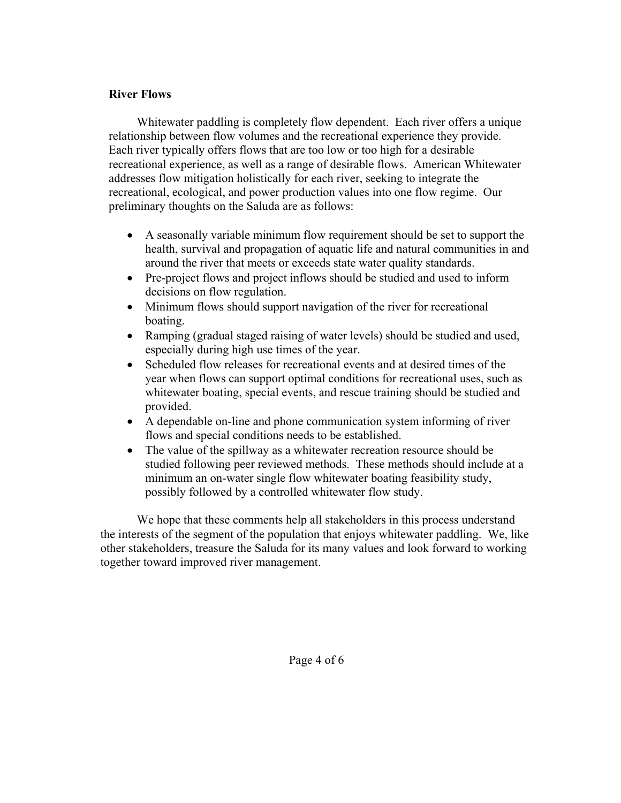#### **River Flows**

 Whitewater paddling is completely flow dependent. Each river offers a unique relationship between flow volumes and the recreational experience they provide. Each river typically offers flows that are too low or too high for a desirable recreational experience, as well as a range of desirable flows. American Whitewater addresses flow mitigation holistically for each river, seeking to integrate the recreational, ecological, and power production values into one flow regime. Our preliminary thoughts on the Saluda are as follows:

- A seasonally variable minimum flow requirement should be set to support the health, survival and propagation of aquatic life and natural communities in and around the river that meets or exceeds state water quality standards.
- Pre-project flows and project inflows should be studied and used to inform decisions on flow regulation.
- Minimum flows should support navigation of the river for recreational boating.
- Ramping (gradual staged raising of water levels) should be studied and used, especially during high use times of the year.
- Scheduled flow releases for recreational events and at desired times of the year when flows can support optimal conditions for recreational uses, such as whitewater boating, special events, and rescue training should be studied and provided.
- A dependable on-line and phone communication system informing of river flows and special conditions needs to be established.
- The value of the spillway as a whitewater recreation resource should be studied following peer reviewed methods. These methods should include at a minimum an on-water single flow whitewater boating feasibility study, possibly followed by a controlled whitewater flow study.

 We hope that these comments help all stakeholders in this process understand the interests of the segment of the population that enjoys whitewater paddling. We, like other stakeholders, treasure the Saluda for its many values and look forward to working together toward improved river management.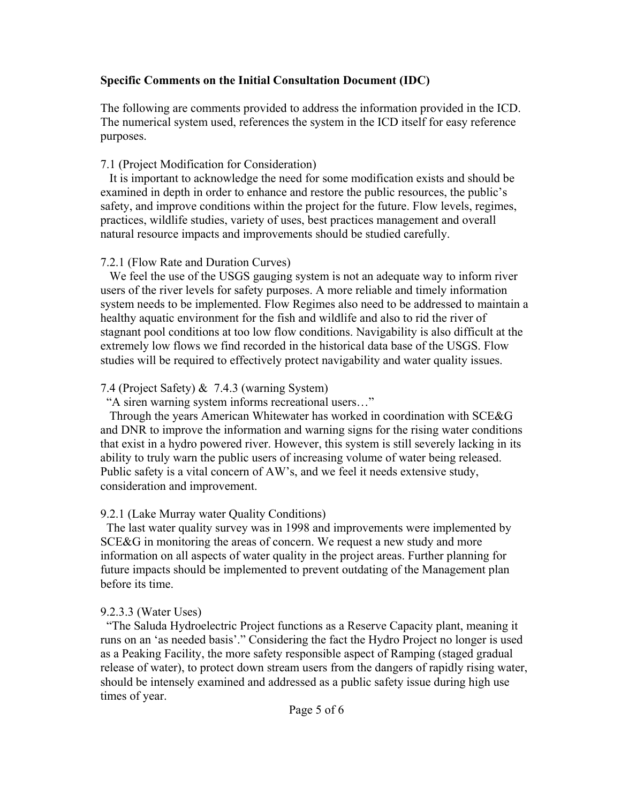## **Specific Comments on the Initial Consultation Document (IDC)**

The following are comments provided to address the information provided in the ICD. The numerical system used, references the system in the ICD itself for easy reference purposes.

## 7.1 (Project Modification for Consideration)

 It is important to acknowledge the need for some modification exists and should be examined in depth in order to enhance and restore the public resources, the public's safety, and improve conditions within the project for the future. Flow levels, regimes, practices, wildlife studies, variety of uses, best practices management and overall natural resource impacts and improvements should be studied carefully.

## 7.2.1 (Flow Rate and Duration Curves)

 We feel the use of the USGS gauging system is not an adequate way to inform river users of the river levels for safety purposes. A more reliable and timely information system needs to be implemented. Flow Regimes also need to be addressed to maintain a healthy aquatic environment for the fish and wildlife and also to rid the river of stagnant pool conditions at too low flow conditions. Navigability is also difficult at the extremely low flows we find recorded in the historical data base of the USGS. Flow studies will be required to effectively protect navigability and water quality issues.

# 7.4 (Project Safety) & 7.4.3 (warning System)

"A siren warning system informs recreational users…"

 Through the years American Whitewater has worked in coordination with SCE&G and DNR to improve the information and warning signs for the rising water conditions that exist in a hydro powered river. However, this system is still severely lacking in its ability to truly warn the public users of increasing volume of water being released. Public safety is a vital concern of AW's, and we feel it needs extensive study, consideration and improvement.

# 9.2.1 (Lake Murray water Quality Conditions)

 The last water quality survey was in 1998 and improvements were implemented by SCE&G in monitoring the areas of concern. We request a new study and more information on all aspects of water quality in the project areas. Further planning for future impacts should be implemented to prevent outdating of the Management plan before its time.

# 9.2.3.3 (Water Uses)

 "The Saluda Hydroelectric Project functions as a Reserve Capacity plant, meaning it runs on an 'as needed basis'." Considering the fact the Hydro Project no longer is used as a Peaking Facility, the more safety responsible aspect of Ramping (staged gradual release of water), to protect down stream users from the dangers of rapidly rising water, should be intensely examined and addressed as a public safety issue during high use times of year.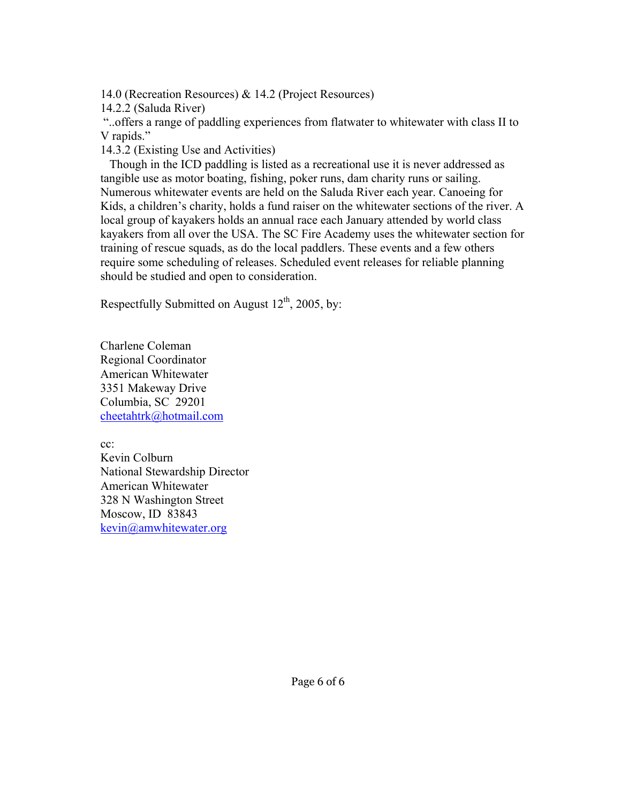14.0 (Recreation Resources) & 14.2 (Project Resources)

14.2.2 (Saluda River)

 "..offers a range of paddling experiences from flatwater to whitewater with class II to V rapids."

14.3.2 (Existing Use and Activities)

 Though in the ICD paddling is listed as a recreational use it is never addressed as tangible use as motor boating, fishing, poker runs, dam charity runs or sailing. Numerous whitewater events are held on the Saluda River each year. Canoeing for Kids, a children's charity, holds a fund raiser on the whitewater sections of the river. A local group of kayakers holds an annual race each January attended by world class kayakers from all over the USA. The SC Fire Academy uses the whitewater section for training of rescue squads, as do the local paddlers. These events and a few others require some scheduling of releases. Scheduled event releases for reliable planning should be studied and open to consideration.

Respectfully Submitted on August  $12<sup>th</sup>$ , 2005, by:

Charlene Coleman Regional Coordinator American Whitewater 3351 Makeway Drive Columbia, SC 29201 cheetahtrk@hotmail.com

cc: Kevin Colburn National Stewardship Director American Whitewater 328 N Washington Street Moscow, ID 83843 kevin@amwhitewater.org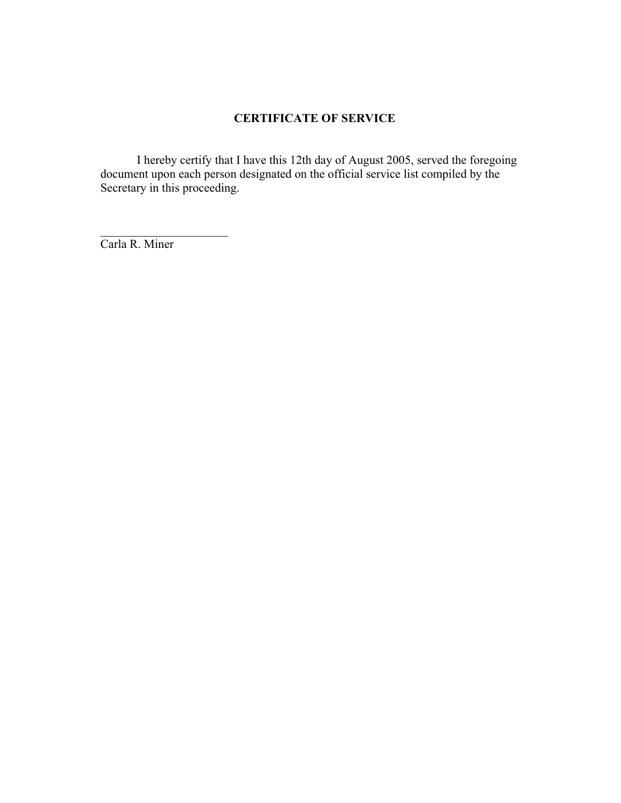# **CERTIFICATE OF SERVICE**

 I hereby certify that I have this 12th day of August 2005, served the foregoing document upon each person designated on the official service list compiled by the Secretary in this proceeding.

Carla R. Miner

 $\mathcal{L}_\text{max}$  , where  $\mathcal{L}_\text{max}$  , we have the set of  $\mathcal{L}_\text{max}$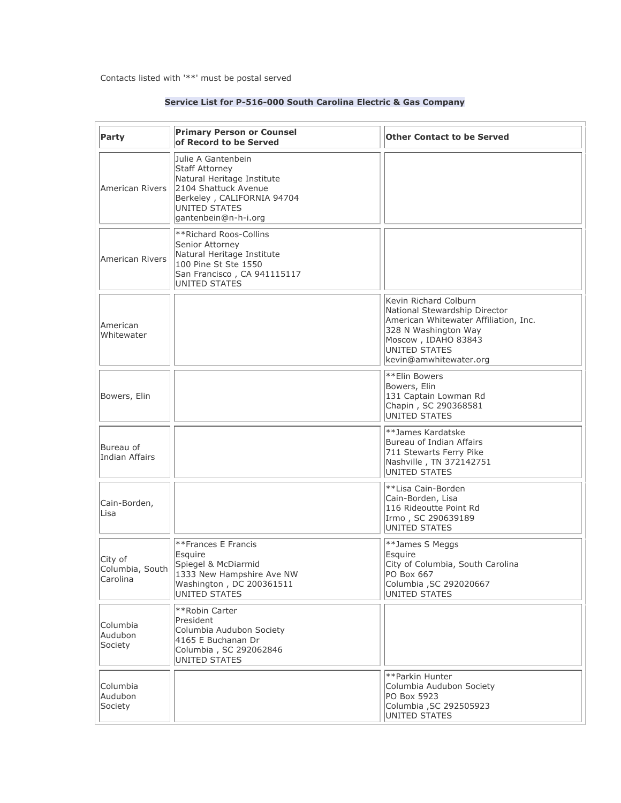| Party                                  | <b>Primary Person or Counsel</b><br>of Record to be Served                                                                                                               | <b>Other Contact to be Served</b>                                                                                                                                                         |
|----------------------------------------|--------------------------------------------------------------------------------------------------------------------------------------------------------------------------|-------------------------------------------------------------------------------------------------------------------------------------------------------------------------------------------|
| American Rivers                        | Julie A Gantenbein<br><b>Staff Attorney</b><br>Natural Heritage Institute<br>2104 Shattuck Avenue<br>Berkeley, CALIFORNIA 94704<br>UNITED STATES<br>gantenbein@n-h-i.org |                                                                                                                                                                                           |
| American Rivers                        | **Richard Roos-Collins<br>Senior Attorney<br>Natural Heritage Institute<br>100 Pine St Ste 1550<br>San Francisco, CA 941115117<br><b>UNITED STATES</b>                   |                                                                                                                                                                                           |
| American<br>Whitewater                 |                                                                                                                                                                          | Kevin Richard Colburn<br>National Stewardship Director<br>American Whitewater Affiliation, Inc.<br>328 N Washington Way<br>Moscow, IDAHO 83843<br>UNITED STATES<br>kevin@amwhitewater.org |
| Bowers, Elin                           |                                                                                                                                                                          | **Elin Bowers<br>Bowers, Elin<br>131 Captain Lowman Rd<br>Chapin, SC 290368581<br><b>UNITED STATES</b>                                                                                    |
| Bureau of<br>Indian Affairs            |                                                                                                                                                                          | **James Kardatske<br>Bureau of Indian Affairs<br>711 Stewarts Ferry Pike<br>Nashville, TN 372142751<br>UNITED STATES                                                                      |
| Cain-Borden,<br>Lisa                   |                                                                                                                                                                          | **Lisa Cain-Borden<br>Cain-Borden, Lisa<br>116 Rideoutte Point Rd<br>Irmo, SC 290639189<br>UNITED STATES                                                                                  |
| City of<br>Columbia, South<br>Carolina | **Frances E Francis<br>Esquire<br>Spiegel & McDiarmid<br>1333 New Hampshire Ave NW<br>Washington, DC 200361511<br><b>UNITED STATES</b>                                   | **James S Meggs<br>Esquire<br>City of Columbia, South Carolina<br>PO Box 667<br>Columbia , SC 292020667<br>UNITED STATES                                                                  |
| Columbia<br>Audubon<br>Society         | **Robin Carter<br>President<br>Columbia Audubon Society<br>4165 E Buchanan Dr<br>Columbia, SC 292062846<br>UNITED STATES                                                 |                                                                                                                                                                                           |
| Columbia<br>Audubon<br>Society         |                                                                                                                                                                          | **Parkin Hunter<br>Columbia Audubon Society<br>PO Box 5923<br>Columbia , SC 292505923<br>UNITED STATES                                                                                    |

#### **Service List for P-516-000 South Carolina Electric & Gas Company**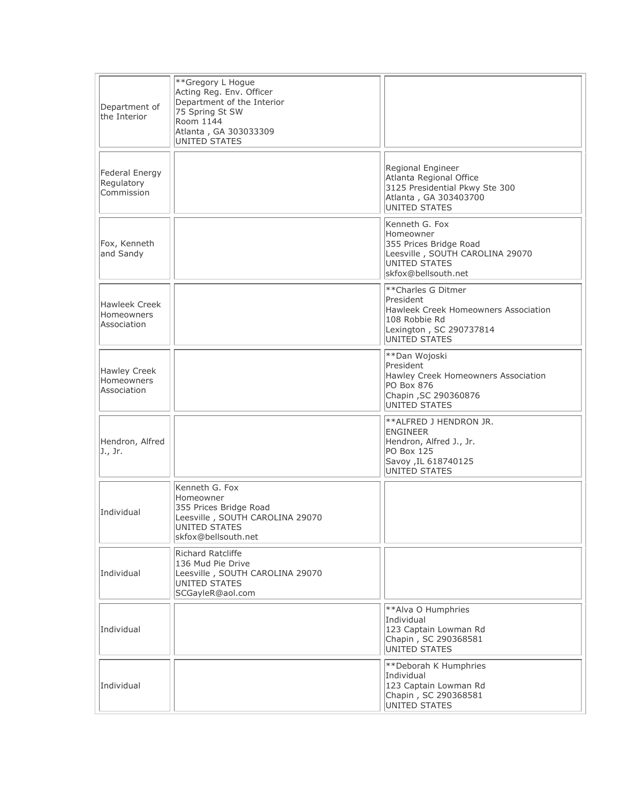| Department of<br>the Interior              | **Gregory L Hogue<br>Acting Reg. Env. Officer<br>Department of the Interior<br>75 Spring St SW<br>Room 1144<br>Atlanta, GA 303033309<br><b>UNITED STATES</b> |                                                                                                                                      |
|--------------------------------------------|--------------------------------------------------------------------------------------------------------------------------------------------------------------|--------------------------------------------------------------------------------------------------------------------------------------|
| Federal Energy<br>Regulatory<br>Commission |                                                                                                                                                              | Regional Engineer<br>Atlanta Regional Office<br>3125 Presidential Pkwy Ste 300<br>Atlanta, GA 303403700<br>UNITED STATES             |
| Fox, Kenneth<br>and Sandy                  |                                                                                                                                                              | Kenneth G. Fox<br>Homeowner<br>355 Prices Bridge Road<br>Leesville, SOUTH CAROLINA 29070<br>UNITED STATES<br>skfox@bellsouth.net     |
| Hawleek Creek<br>Homeowners<br>Association |                                                                                                                                                              | **Charles G Ditmer<br>President<br>Hawleek Creek Homeowners Association<br>108 Robbie Rd<br>Lexington, SC 290737814<br>UNITED STATES |
| Hawley Creek<br>Homeowners<br>Association  |                                                                                                                                                              | **Dan Wojoski<br>President<br>Hawley Creek Homeowners Association<br>PO Box 876<br>Chapin , SC 290360876<br>UNITED STATES            |
| Hendron, Alfred<br>J., Jr.                 |                                                                                                                                                              | **ALFRED J HENDRON JR.<br><b>ENGINEER</b><br>Hendron, Alfred J., Jr.<br>PO Box 125<br>Savoy , IL 618740125<br>UNITED STATES          |
| Individual                                 | Kenneth G. Fox<br>Homeowner<br>355 Prices Bridge Road<br>Leesville, SOUTH CAROLINA 29070<br>UNITED STATES<br>skfox@bellsouth.net                             |                                                                                                                                      |
| Individual                                 | Richard Ratcliffe<br>136 Mud Pie Drive<br>Leesville, SOUTH CAROLINA 29070<br>UNITED STATES<br>SCGayleR@aol.com                                               |                                                                                                                                      |
| Individual                                 |                                                                                                                                                              | **Alva O Humphries<br>Individual<br>123 Captain Lowman Rd<br>Chapin, SC 290368581<br>UNITED STATES                                   |
| Individual                                 |                                                                                                                                                              | **Deborah K Humphries<br>Individual<br>123 Captain Lowman Rd<br>Chapin, SC 290368581<br>UNITED STATES                                |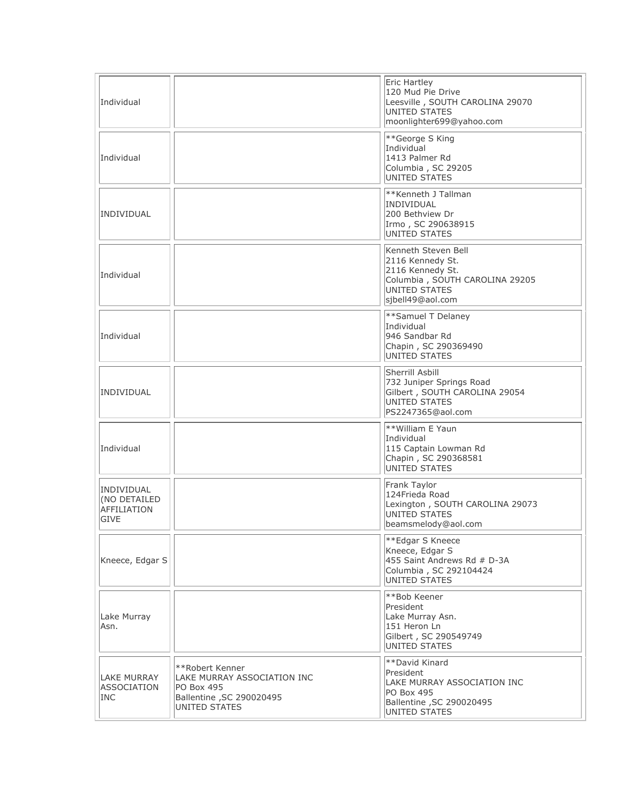| Individual                                                      |                                                                                                                   | Eric Hartley<br>120 Mud Pie Drive<br>Leesville, SOUTH CAROLINA 29070<br>UNITED STATES<br>moonlighter699@yahoo.com                  |
|-----------------------------------------------------------------|-------------------------------------------------------------------------------------------------------------------|------------------------------------------------------------------------------------------------------------------------------------|
| Individual                                                      |                                                                                                                   | **George S King<br>Individual<br>1413 Palmer Rd<br>Columbia, SC 29205<br><b>UNITED STATES</b>                                      |
| INDIVIDUAL                                                      |                                                                                                                   | **Kenneth J Tallman<br><b>INDIVIDUAL</b><br>200 Bethview Dr<br>Irmo, SC 290638915<br>UNITED STATES                                 |
| Individual                                                      |                                                                                                                   | Kenneth Steven Bell<br>2116 Kennedy St.<br>2116 Kennedy St.<br>Columbia, SOUTH CAROLINA 29205<br>UNITED STATES<br>sjbell49@aol.com |
| Individual                                                      |                                                                                                                   | **Samuel T Delaney<br>Individual<br>946 Sandbar Rd<br>Chapin, SC 290369490<br><b>UNITED STATES</b>                                 |
| INDIVIDUAL                                                      |                                                                                                                   | Sherrill Asbill<br>732 Juniper Springs Road<br>Gilbert, SOUTH CAROLINA 29054<br>UNITED STATES<br>PS2247365@aol.com                 |
| Individual                                                      |                                                                                                                   | **William E Yaun<br>Individual<br>115 Captain Lowman Rd<br>Chapin, SC 290368581<br><b>UNITED STATES</b>                            |
| INDIVIDUAL<br>(NO DETAILED<br><b>AFFILIATION</b><br><b>GIVE</b> |                                                                                                                   | Frank Taylor<br>124Frieda Road<br>Lexington, SOUTH CAROLINA 29073<br>UNITED STATES<br>beamsmelody@aol.com                          |
| Kneece, Edgar S                                                 |                                                                                                                   | **Edgar S Kneece<br>Kneece, Edgar S<br>455 Saint Andrews Rd # D-3A<br>Columbia, SC 292104424<br><b>UNITED STATES</b>               |
| Lake Murray<br>Asn.                                             |                                                                                                                   | **Bob Keener<br>President<br>Lake Murray Asn.<br>151 Heron Ln<br>Gilbert, SC 290549749<br>UNITED STATES                            |
| LAKE MURRAY<br><b>ASSOCIATION</b><br><b>INC</b>                 | **Robert Kenner<br>LAKE MURRAY ASSOCIATION INC<br>PO Box 495<br>Ballentine , SC 290020495<br><b>UNITED STATES</b> | **David Kinard<br>President<br>LAKE MURRAY ASSOCIATION INC<br>PO Box 495<br>Ballentine , SC 290020495<br><b>UNITED STATES</b>      |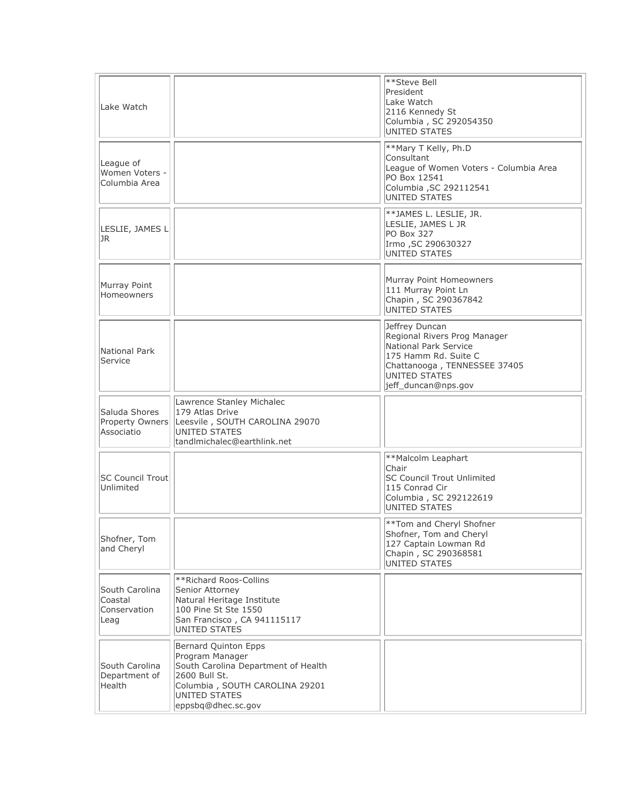| Lake Watch                                        |                                                                                                                                                                          | **Steve Bell<br>President<br>Lake Watch<br>2116 Kennedy St<br>Columbia, SC 292054350<br><b>UNITED STATES</b>                                                            |
|---------------------------------------------------|--------------------------------------------------------------------------------------------------------------------------------------------------------------------------|-------------------------------------------------------------------------------------------------------------------------------------------------------------------------|
| League of<br>Women Voters -<br>Columbia Area      |                                                                                                                                                                          | **Mary T Kelly, Ph.D<br>Consultant<br>League of Women Voters - Columbia Area<br>PO Box 12541<br>Columbia , SC 292112541<br><b>UNITED STATES</b>                         |
| LESLIE, JAMES L<br>JR.                            |                                                                                                                                                                          | **JAMES L. LESLIE, JR.<br>LESLIE, JAMES L JR<br><b>PO Box 327</b><br>Irmo , SC 290630327<br><b>UNITED STATES</b>                                                        |
| Murray Point<br>Homeowners                        |                                                                                                                                                                          | Murray Point Homeowners<br>111 Murray Point Ln<br>Chapin, SC 290367842<br><b>UNITED STATES</b>                                                                          |
| National Park<br>Service                          |                                                                                                                                                                          | Jeffrey Duncan<br>Regional Rivers Prog Manager<br>National Park Service<br>175 Hamm Rd. Suite C<br>Chattanooga, TENNESSEE 37405<br>UNITED STATES<br>jeff_duncan@nps.gov |
| Saluda Shores<br>Property Owners<br>Associatio    | Lawrence Stanley Michalec<br>179 Atlas Drive<br>Leesvile, SOUTH CAROLINA 29070<br>UNITED STATES<br>tandImichalec@earthlink.net                                           |                                                                                                                                                                         |
| <b>SC Council Trout</b><br>Unlimited              |                                                                                                                                                                          | **Malcolm Leaphart<br>Chair<br><b>SC Council Trout Unlimited</b><br>115 Conrad Cir<br>Columbia, SC 292122619<br><b>UNITED STATES</b>                                    |
| Shofner, Tom<br>and Cheryl                        |                                                                                                                                                                          | **Tom and Cheryl Shofner<br>Shofner, Tom and Cheryl<br>127 Captain Lowman Rd<br>Chapin, SC 290368581<br><b>UNITED STATES</b>                                            |
| South Carolina<br>Coastal<br>Conservation<br>Leag | **Richard Roos-Collins<br>Senior Attorney<br>Natural Heritage Institute<br>100 Pine St Ste 1550<br>San Francisco, CA 941115117<br>UNITED STATES                          |                                                                                                                                                                         |
| South Carolina<br>Department of<br>Health         | Bernard Quinton Epps<br>Program Manager<br>South Carolina Department of Health<br>2600 Bull St.<br>Columbia, SOUTH CAROLINA 29201<br>UNITED STATES<br>eppsbq@dhec.sc.gov |                                                                                                                                                                         |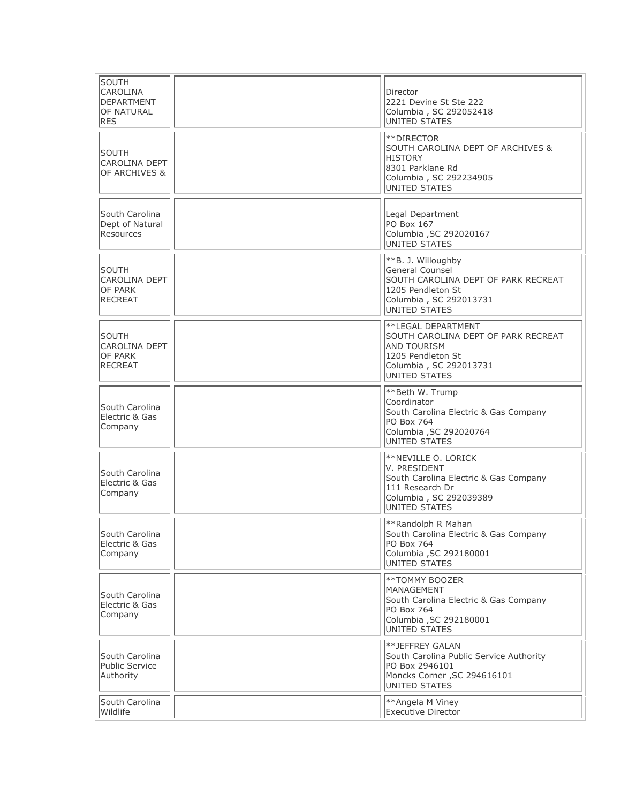| <b>SOUTH</b><br>CAROLINA<br><b>DEPARTMENT</b><br>OF NATURAL<br><b>RES</b> | Director<br>2221 Devine St Ste 222<br>Columbia, SC 292052418<br><b>UNITED STATES</b>                                                                       |
|---------------------------------------------------------------------------|------------------------------------------------------------------------------------------------------------------------------------------------------------|
| <b>SOUTH</b><br>CAROLINA DEPT<br>OF ARCHIVES &                            | **DIRECTOR<br>SOUTH CAROLINA DEPT OF ARCHIVES &<br><b>HISTORY</b><br>8301 Parklane Rd<br>Columbia, SC 292234905<br><b>UNITED STATES</b>                    |
| South Carolina<br>Dept of Natural<br>Resources                            | Legal Department<br>PO Box 167<br>Columbia , SC 292020167<br><b>UNITED STATES</b>                                                                          |
| <b>SOUTH</b><br><b>CAROLINA DEPT</b><br>OF PARK<br><b>RECREAT</b>         | **B. J. Willoughby<br><b>General Counsel</b><br>SOUTH CAROLINA DEPT OF PARK RECREAT<br>1205 Pendleton St<br>Columbia, SC 292013731<br><b>UNITED STATES</b> |
| <b>SOUTH</b><br><b>CAROLINA DEPT</b><br>OF PARK<br><b>RECREAT</b>         | **LEGAL DEPARTMENT<br>SOUTH CAROLINA DEPT OF PARK RECREAT<br><b>AND TOURISM</b><br>1205 Pendleton St<br>Columbia, SC 292013731<br><b>UNITED STATES</b>     |
| South Carolina<br>Electric & Gas<br>Company                               | **Beth W. Trump<br>Coordinator<br>South Carolina Electric & Gas Company<br>PO Box 764<br>Columbia , SC 292020764<br><b>UNITED STATES</b>                   |
| South Carolina<br>Electric & Gas<br>Company                               | **NEVILLE O. LORICK<br>V. PRESIDENT<br>South Carolina Electric & Gas Company<br>111 Research Dr<br>Columbia, SC 292039389<br><b>UNITED STATES</b>          |
| South Carolina<br>Electric & Gas<br>Company                               | **Randolph R Mahan<br>South Carolina Electric & Gas Company<br><b>PO Box 764</b><br>Columbia , SC 292180001<br><b>UNITED STATES</b>                        |
| South Carolina<br>Electric & Gas<br>Company                               | **TOMMY BOOZER<br>MANAGEMENT<br>South Carolina Electric & Gas Company<br>PO Box 764<br>Columbia , SC 292180001<br><b>UNITED STATES</b>                     |
| South Carolina<br><b>Public Service</b><br>Authority                      | **JEFFREY GALAN<br>South Carolina Public Service Authority<br>PO Box 2946101<br>Moncks Corner, SC 294616101<br><b>UNITED STATES</b>                        |
| South Carolina<br>Wildlife                                                | **Angela M Viney<br><b>Executive Director</b>                                                                                                              |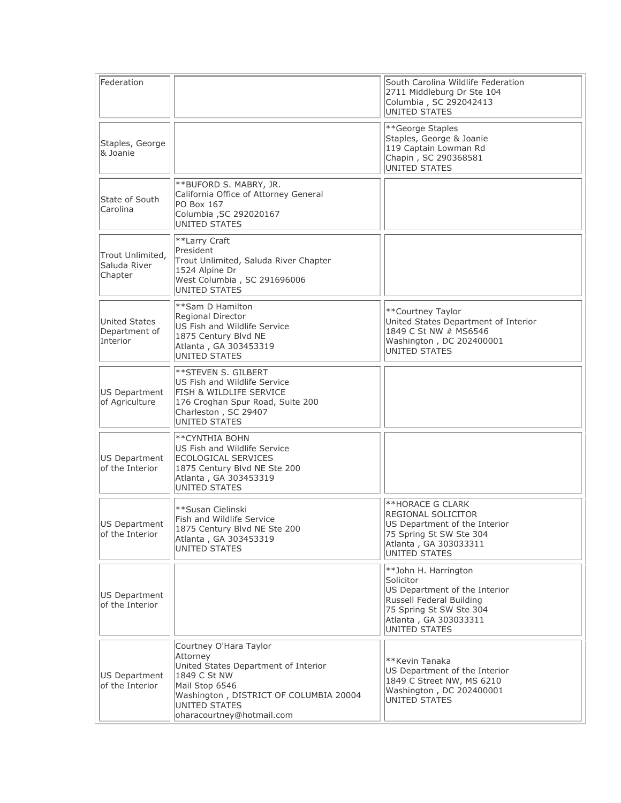| Federation                                        |                                                                                                                                                                                                      | South Carolina Wildlife Federation<br>2711 Middleburg Dr Ste 104<br>Columbia, SC 292042413<br><b>UNITED STATES</b>                                                         |
|---------------------------------------------------|------------------------------------------------------------------------------------------------------------------------------------------------------------------------------------------------------|----------------------------------------------------------------------------------------------------------------------------------------------------------------------------|
| Staples, George<br>& Joanie                       |                                                                                                                                                                                                      | **George Staples<br>Staples, George & Joanie<br>119 Captain Lowman Rd<br>Chapin, SC 290368581<br><b>UNITED STATES</b>                                                      |
| State of South<br>Carolina                        | **BUFORD S. MABRY, JR.<br>California Office of Attorney General<br>PO Box 167<br>Columbia , SC 292020167<br><b>UNITED STATES</b>                                                                     |                                                                                                                                                                            |
| Trout Unlimited,<br>Saluda River<br>Chapter       | **Larry Craft<br>President<br>Trout Unlimited, Saluda River Chapter<br>1524 Alpine Dr<br>West Columbia, SC 291696006<br>UNITED STATES                                                                |                                                                                                                                                                            |
| <b>United States</b><br>Department of<br>Interior | **Sam D Hamilton<br>Regional Director<br>US Fish and Wildlife Service<br>1875 Century Blvd NE<br>Atlanta, GA 303453319<br><b>UNITED STATES</b>                                                       | **Courtney Taylor<br>United States Department of Interior<br>1849 C St NW # MS6546<br>Washington, DC 202400001<br><b>UNITED STATES</b>                                     |
| US Department<br>of Agriculture                   | **STEVEN S. GILBERT<br>US Fish and Wildlife Service<br><b>FISH &amp; WILDLIFE SERVICE</b><br>176 Croghan Spur Road, Suite 200<br>Charleston, SC 29407<br>UNITED STATES                               |                                                                                                                                                                            |
| US Department<br>of the Interior                  | ** CYNTHIA BOHN<br>US Fish and Wildlife Service<br>ECOLOGICAL SERVICES<br>1875 Century Blvd NE Ste 200<br>Atlanta, GA 303453319<br>UNITED STATES                                                     |                                                                                                                                                                            |
| US Department<br>of the Interior                  | **Susan Cielinski<br>Fish and Wildlife Service<br>1875 Century Blvd NE Ste 200<br>Atlanta, GA 303453319<br>UNITED STATES                                                                             | <b>**HORACE G CLARK</b><br>REGIONAL SOLICITOR<br>US Department of the Interior<br>75 Spring St SW Ste 304<br>Atlanta, GA 303033311<br><b>UNITED STATES</b>                 |
| US Department<br>of the Interior                  |                                                                                                                                                                                                      | **John H. Harrington<br>Solicitor<br>US Department of the Interior<br>Russell Federal Building<br>75 Spring St SW Ste 304<br>Atlanta, GA 303033311<br><b>UNITED STATES</b> |
| US Department<br>of the Interior                  | Courtney O'Hara Taylor<br>Attorney<br>United States Department of Interior<br>1849 C St NW<br>Mail Stop 6546<br>Washington, DISTRICT OF COLUMBIA 20004<br>UNITED STATES<br>oharacourtney@hotmail.com | **Kevin Tanaka<br>US Department of the Interior<br>1849 C Street NW, MS 6210<br>Washington, DC 202400001<br>UNITED STATES                                                  |